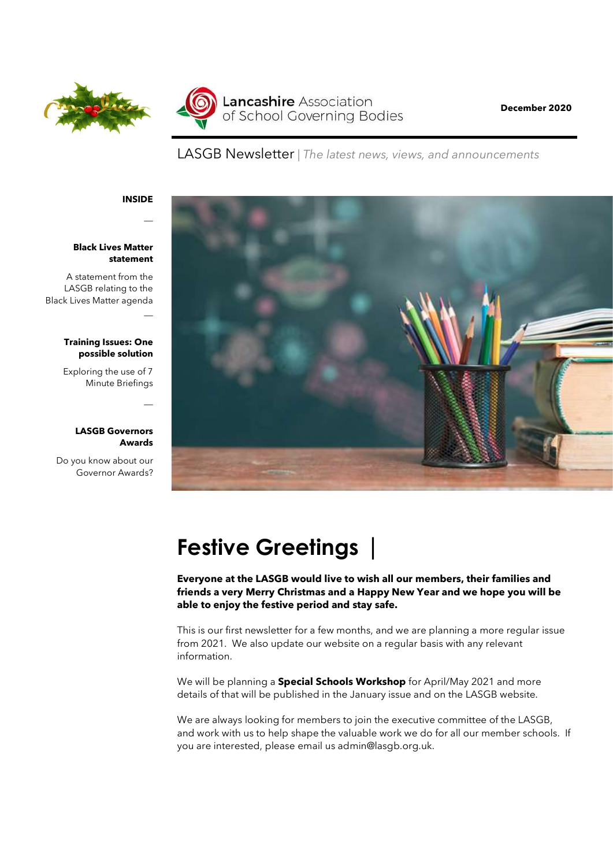



December 2020

LASGB Newsletter | The latest news, views, and announcements

INSIDE

 $\overline{a}$ 

 $\overline{a}$ 

 $\overline{a}$ 

### Black Lives Matter statement

A statement from the LASGB relating to the Black Lives Matter agenda

## Training Issues: One possible solution

Exploring the use of 7 Minute Briefings

#### LASGB Governors Awards

Do you know about our Governor Awards?



# Festive Greetings |

Everyone at the LASGB would live to wish all our members, their families and friends a very Merry Christmas and a Happy New Year and we hope you will be able to enjoy the festive period and stay safe.

This is our first newsletter for a few months, and we are planning a more regular issue from 2021. We also update our website on a regular basis with any relevant information.

We will be planning a **Special Schools Workshop** for April/May 2021 and more details of that will be published in the January issue and on the LASGB website.

We are always looking for members to join the executive committee of the LASGB, and work with us to help shape the valuable work we do for all our member schools. If you are interested, please email us admin@lasgb.org.uk.